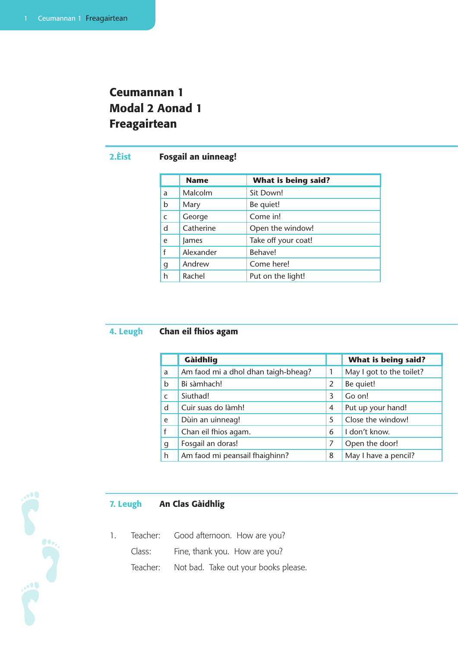# Ceumannan 1 Modal 2 Aonad 1 Freagairtean

# 2.Èist Fosgail an uinneag!

|             | <b>Name</b> | <b>What is being said?</b> |
|-------------|-------------|----------------------------|
| a           | Malcolm     | Sit Down!                  |
| b           | Mary        | Be quiet!                  |
| $\mathsf C$ | George      | Come in!                   |
| d           | Catherine   | Open the window!           |
| e           | lames       | Take off your coat!        |
| f           | Alexander   | Behave!                    |
| g           | Andrew      | Come here!                 |
| h           | Rachel      | Put on the light!          |

### 4. Leugh Chan eil fhios agam

|              | Gàidhlig                            |                | What is being said?      |
|--------------|-------------------------------------|----------------|--------------------------|
| a            | Am faod mi a dhol dhan taigh-bheag? |                | May I got to the toilet? |
| b            | Bi sàmhach!                         | 2              | Be quiet!                |
| $\mathsf{C}$ | Siuthad!                            | 3              | Go on!                   |
| d            | Cuir suas do làmh!                  | $\overline{4}$ | Put up your hand!        |
| e            | Dùin an uinneag!                    | 5              | Close the window!        |
| f            | Chan eil fhios agam.                | 6              | I don't know.            |
| g            | Fosgail an doras!                   | 7              | Open the door!           |
| h            | Am faod mi peansail fhaighinn?      | 8              | May I have a pencil?     |

# 7. Leugh An Clas Gàidhlig

1. Teacher: Good afternoon. How are you? Class: Fine, thank you. How are you? Teacher: Not bad. Take out your books please.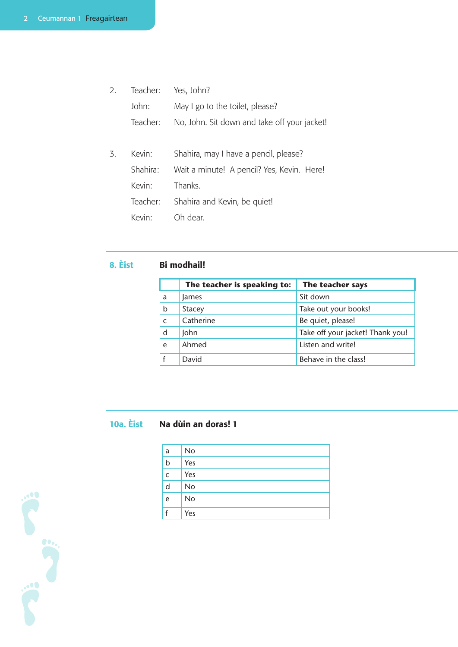| $\mathcal{P}_{\cdot}$ | Teacher: | Yes, John?                                   |
|-----------------------|----------|----------------------------------------------|
|                       | John:    | May I go to the toilet, please?              |
|                       | Teacher: | No, John. Sit down and take off your jacket! |
|                       |          |                                              |
| 3.                    | Kevin:   | Shahira, may I have a pencil, please?        |
|                       | Shahira: | Wait a minute! A pencil? Yes, Kevin. Here!   |
|                       | Kevin:   | Thanks.                                      |
|                       | Teacher: | Shahira and Kevin, be quiet!                 |
|                       | Kevin:   | Oh dear.                                     |

#### 8. Èist **Bi** modhail!

|              | The teacher is speaking to: | The teacher says                 |
|--------------|-----------------------------|----------------------------------|
| a            | lames                       | Sit down                         |
| b            | <b>Stacey</b>               | Take out your books!             |
| $\mathsf{C}$ | Catherine                   | Be quiet, please!                |
| d            | John                        | Take off your jacket! Thank you! |
| e            | Ahmed                       | Listen and write!                |
|              | David                       | Behave in the class!             |

#### 10a. Èist Na dùin an doras! 1

| a           | <b>No</b> |
|-------------|-----------|
| $\mathsf b$ | Yes       |
| C           | Yes       |
| d           | <b>No</b> |
| e           | No        |
|             | Yes       |

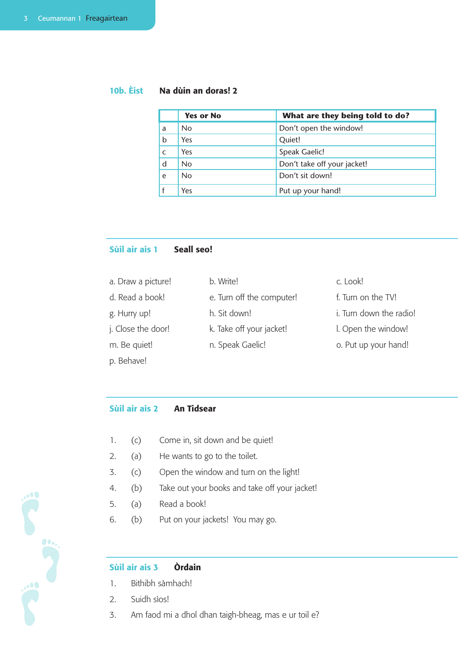# 10b. Èist Na dùin an doras! 2

|   | <b>Yes or No</b> | What are they being told to do? |
|---|------------------|---------------------------------|
| a | <b>No</b>        | Don't open the window!          |
| b | Yes              | Quiet!                          |
|   | Yes              | Speak Gaelic!                   |
| d | <b>No</b>        | Don't take off your jacket!     |
| e | <b>No</b>        | Don't sit down!                 |
|   | Yes              | Put up your hand!               |

### Sùil air ais 1 Seall seo!

| a. Draw a picture! | b. Write!                 | c. Look!                |
|--------------------|---------------------------|-------------------------|
| d. Read a book!    | e. Turn off the computer! | f. Turn on the TV!      |
| g. Hurry up!       | h. Sit down!              | i. Turn down the radio! |
| j. Close the door! | k. Take off your jacket!  | I. Open the window!     |
| m. Be quiet!       | n. Speak Gaelic!          | o. Put up your hand!    |
| p. Behave!         |                           |                         |

#### Sùil air ais 2 An Tidsear

- 1. (c) Come in, sit down and be quiet!
- 2. (a) He wants to go to the toilet.
- 3. (c) Open the window and turn on the light!
- 4. (b) Take out your books and take off your jacket!
- 5. (a) Read a book!
- 6. (b) Put on your jackets! You may go.

### Sùil air ais 3 Òrdain

- 1. Bithibh sàmhach!
- 2. Suidh sìos!
- 3. Am faod mi a dhol dhan taigh-bheag, mas e ur toil e?